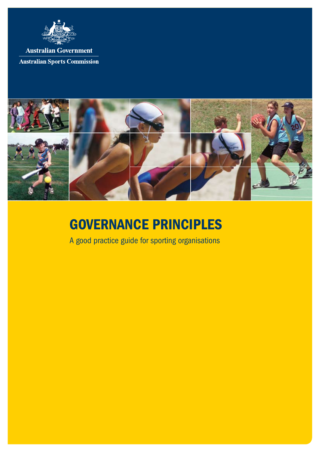

**Australian Government Australian Sports Commission** 



# Governance Principles

A good practice guide for sporting organisations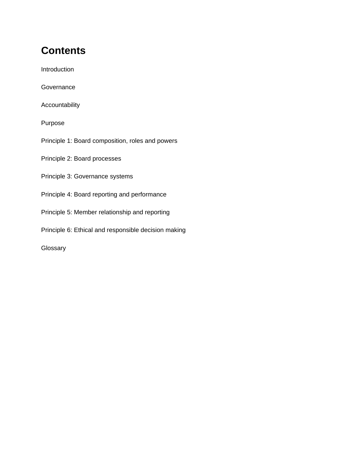# **Contents**

Introduction

**Governance** 

Accountability

Purpose

Principle 1: Board composition, roles and powers

Principle 2: Board processes

- Principle 3: Governance systems
- Principle 4: Board reporting and performance
- Principle 5: Member relationship and reporting
- Principle 6: Ethical and responsible decision making

Glossary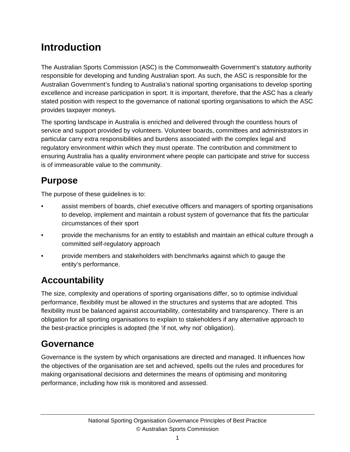# **Introduction**

The Australian Sports Commission (ASC) is the Commonwealth Government's statutory authority responsible for developing and funding Australian sport. As such, the ASC is responsible for the Australian Government's funding to Australia's national sporting organisations to develop sporting excellence and increase participation in sport. It is important, therefore, that the ASC has a clearly stated position with respect to the governance of national sporting organisations to which the ASC provides taxpayer moneys.

The sporting landscape in Australia is enriched and delivered through the countless hours of service and support provided by volunteers. Volunteer boards, committees and administrators in particular carry extra responsibilities and burdens associated with the complex legal and regulatory environment within which they must operate. The contribution and commitment to ensuring Australia has a quality environment where people can participate and strive for success is of immeasurable value to the community.

# **Purpose**

The purpose of these guidelines is to:

- assist members of boards, chief executive officers and managers of sporting organisations to develop, implement and maintain a robust system of governance that fits the particular circumstances of their sport
- provide the mechanisms for an entity to establish and maintain an ethical culture through a committed self-regulatory approach
- provide members and stakeholders with benchmarks against which to gauge the entity's performance.

# **Accountability**

The size, complexity and operations of sporting organisations differ, so to optimise individual performance, flexibility must be allowed in the structures and systems that are adopted. This flexibility must be balanced against accountability, contestability and transparency. There is an obligation for all sporting organisations to explain to stakeholders if any alternative approach to the best-practice principles is adopted (the 'if not, why not' obligation).

### **Governance**

Governance is the system by which organisations are directed and managed. It influences how the objectives of the organisation are set and achieved, spells out the rules and procedures for making organisational decisions and determines the means of optimising and monitoring performance, including how risk is monitored and assessed.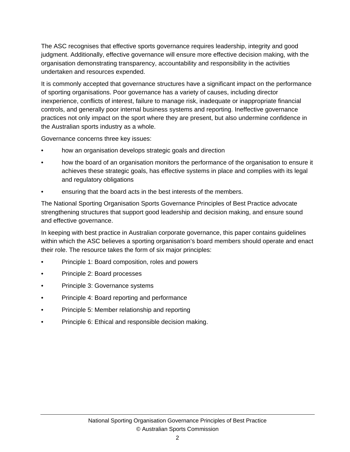The ASC recognises that effective sports governance requires leadership, integrity and good judgment. Additionally, effective governance will ensure more effective decision making, with the organisation demonstrating transparency, accountability and responsibility in the activities undertaken and resources expended.

It is commonly accepted that governance structures have a significant impact on the performance of sporting organisations. Poor governance has a variety of causes, including director inexperience, conflicts of interest, failure to manage risk, inadequate or inappropriate financial controls, and generally poor internal business systems and reporting. Ineffective governance practices not only impact on the sport where they are present, but also undermine confidence in the Australian sports industry as a whole.

Governance concerns three key issues:

- how an organisation develops strategic goals and direction
- how the board of an organisation monitors the performance of the organisation to ensure it achieves these strategic goals, has effective systems in place and complies with its legal and regulatory obligations
- ensuring that the board acts in the best interests of the members.

The National Sporting Organisation Sports Governance Principles of Best Practice advocate strengthening structures that support good leadership and decision making, and ensure sound and effective governance.

In keeping with best practice in Australian corporate governance, this paper contains guidelines within which the ASC believes a sporting organisation's board members should operate and enact their role. The resource takes the form of six major principles:

- Principle 1: Board composition, roles and powers
- Principle 2: Board processes
- Principle 3: Governance systems
- Principle 4: Board reporting and performance
- Principle 5: Member relationship and reporting
- Principle 6: Ethical and responsible decision making.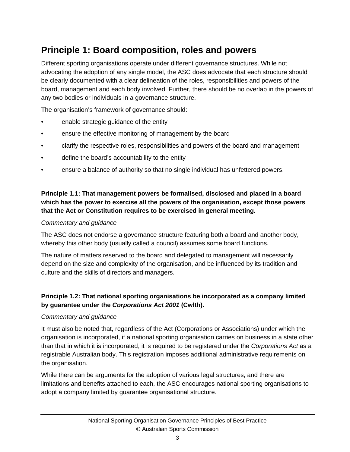# **Principle 1: Board composition, roles and powers**

Different sporting organisations operate under different governance structures. While not advocating the adoption of any single model, the ASC does advocate that each structure should be clearly documented with a clear delineation of the roles, responsibilities and powers of the board, management and each body involved. Further, there should be no overlap in the powers of any two bodies or individuals in a governance structure.

The organisation's framework of governance should:

- enable strategic guidance of the entity
- ensure the effective monitoring of management by the board
- clarify the respective roles, responsibilities and powers of the board and management
- define the board's accountability to the entity
- ensure a balance of authority so that no single individual has unfettered powers.

#### **Principle 1.1: That management powers be formalised, disclosed and placed in a board which has the power to exercise all the powers of the organisation, except those powers that the Act or Constitution requires to be exercised in general meeting.**

#### *Commentary and guidance*

The ASC does not endorse a governance structure featuring both a board and another body, whereby this other body (usually called a council) assumes some board functions.

The nature of matters reserved to the board and delegated to management will necessarily depend on the size and complexity of the organisation, and be influenced by its tradition and culture and the skills of directors and managers.

#### **Principle 1.2: That national sporting organisations be incorporated as a company limited by guarantee under the** *Corporations Act 2001* **(Cwlth).**

#### *Commentary and guidance*

It must also be noted that, regardless of the Act (Corporations or Associations) under which the organisation is incorporated, if a national sporting organisation carries on business in a state other than that in which it is incorporated, it is required to be registered under the *Corporations Act* as a registrable Australian body. This registration imposes additional administrative requirements on the organisation.

While there can be arguments for the adoption of various legal structures, and there are limitations and benefits attached to each, the ASC encourages national sporting organisations to adopt a company limited by guarantee organisational structure.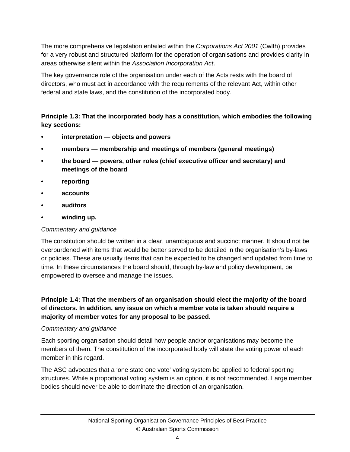The more comprehensive legislation entailed within the *Corporations Act 2001* (Cwlth) provides for a very robust and structured platform for the operation of organisations and provides clarity in areas otherwise silent within the *Association Incorporation Act*.

The key governance role of the organisation under each of the Acts rests with the board of directors, who must act in accordance with the requirements of the relevant Act, within other federal and state laws, and the constitution of the incorporated body.

#### **Principle 1.3: That the incorporated body has a constitution, which embodies the following key sections:**

- **interpretation objects and powers**
- **members membership and meetings of members (general meetings)**
- **the board powers, other roles (chief executive officer and secretary) and meetings of the board**
- **reporting**
- **accounts**
- **auditors**
- **winding up.**

#### *Commentary and guidance*

The constitution should be written in a clear, unambiguous and succinct manner. It should not be overburdened with items that would be better served to be detailed in the organisation's by-laws or policies. These are usually items that can be expected to be changed and updated from time to time. In these circumstances the board should, through by-law and policy development, be empowered to oversee and manage the issues.

**Principle 1.4: That the members of an organisation should elect the majority of the board of directors. In addition, any issue on which a member vote is taken should require a majority of member votes for any proposal to be passed.** 

#### *Commentary and guidance*

Each sporting organisation should detail how people and/or organisations may become the members of them. The constitution of the incorporated body will state the voting power of each member in this regard.

The ASC advocates that a 'one state one vote' voting system be applied to federal sporting structures. While a proportional voting system is an option, it is not recommended. Large member bodies should never be able to dominate the direction of an organisation.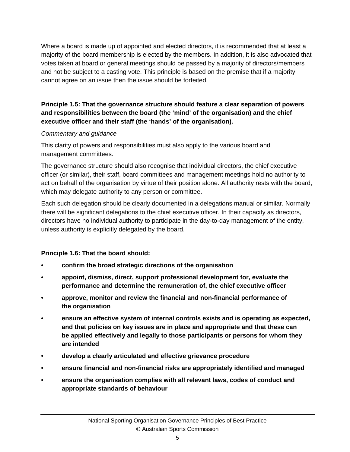Where a board is made up of appointed and elected directors, it is recommended that at least a majority of the board membership is elected by the members. In addition, it is also advocated that votes taken at board or general meetings should be passed by a majority of directors/members and not be subject to a casting vote. This principle is based on the premise that if a majority cannot agree on an issue then the issue should be forfeited.

#### **Principle 1.5: That the governance structure should feature a clear separation of powers and responsibilities between the board (the 'mind' of the organisation) and the chief executive officer and their staff (the 'hands' of the organisation).**

#### *Commentary and guidance*

This clarity of powers and responsibilities must also apply to the various board and management committees.

The governance structure should also recognise that individual directors, the chief executive officer (or similar), their staff, board committees and management meetings hold no authority to act on behalf of the organisation by virtue of their position alone. All authority rests with the board, which may delegate authority to any person or committee.

Each such delegation should be clearly documented in a delegations manual or similar. Normally there will be significant delegations to the chief executive officer. In their capacity as directors, directors have no individual authority to participate in the day-to-day management of the entity, unless authority is explicitly delegated by the board.

#### **Principle 1.6: That the board should:**

- **confirm the broad strategic directions of the organisation**
- **appoint, dismiss, direct, support professional development for, evaluate the performance and determine the remuneration of, the chief executive officer**
- **approve, monitor and review the financial and non-financial performance of the organisation**
- **ensure an effective system of internal controls exists and is operating as expected, and that policies on key issues are in place and appropriate and that these can be applied effectively and legally to those participants or persons for whom they are intended**
- **develop a clearly articulated and effective grievance procedure**
- **ensure financial and non-financial risks are appropriately identified and managed**
- **ensure the organisation complies with all relevant laws, codes of conduct and appropriate standards of behaviour**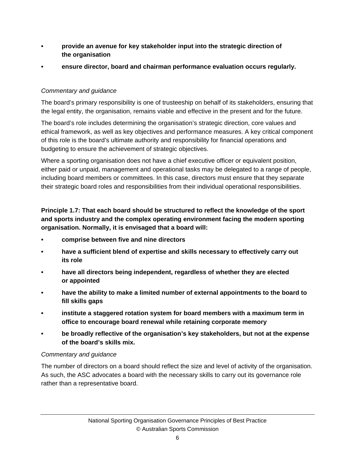- **provide an avenue for key stakeholder input into the strategic direction of the organisation**
- **ensure director, board and chairman performance evaluation occurs regularly.**

#### *Commentary and guidance*

The board's primary responsibility is one of trusteeship on behalf of its stakeholders, ensuring that the legal entity, the organisation, remains viable and effective in the present and for the future.

The board's role includes determining the organisation's strategic direction, core values and ethical framework, as well as key objectives and performance measures. A key critical component of this role is the board's ultimate authority and responsibility for financial operations and budgeting to ensure the achievement of strategic objectives.

Where a sporting organisation does not have a chief executive officer or equivalent position, either paid or unpaid, management and operational tasks may be delegated to a range of people, including board members or committees. In this case, directors must ensure that they separate their strategic board roles and responsibilities from their individual operational responsibilities.

#### **Principle 1.7: That each board should be structured to reflect the knowledge of the sport and sports industry and the complex operating environment facing the modern sporting organisation. Normally, it is envisaged that a board will:**

- **comprise between five and nine directors**
- **have a sufficient blend of expertise and skills necessary to effectively carry out its role**
- **have all directors being independent, regardless of whether they are elected or appointed**
- **have the ability to make a limited number of external appointments to the board to fill skills gaps**
- **institute a staggered rotation system for board members with a maximum term in office to encourage board renewal while retaining corporate memory**
- **be broadly reflective of the organisation's key stakeholders, but not at the expense of the board's skills mix.**

#### *Commentary and guidance*

The number of directors on a board should reflect the size and level of activity of the organisation. As such, the ASC advocates a board with the necessary skills to carry out its governance role rather than a representative board.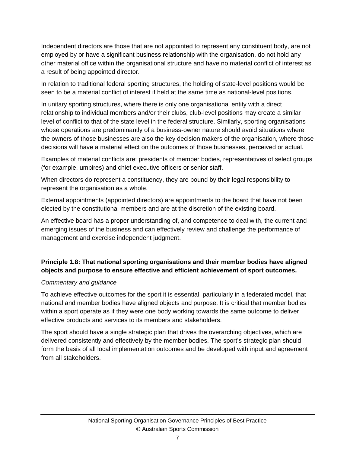Independent directors are those that are not appointed to represent any constituent body, are not employed by or have a significant business relationship with the organisation, do not hold any other material office within the organisational structure and have no material conflict of interest as a result of being appointed director.

In relation to traditional federal sporting structures, the holding of state-level positions would be seen to be a material conflict of interest if held at the same time as national-level positions.

In unitary sporting structures, where there is only one organisational entity with a direct relationship to individual members and/or their clubs, club-level positions may create a similar level of conflict to that of the state level in the federal structure. Similarly, sporting organisations whose operations are predominantly of a business-owner nature should avoid situations where the owners of those businesses are also the key decision makers of the organisation, where those decisions will have a material effect on the outcomes of those businesses, perceived or actual.

Examples of material conflicts are: presidents of member bodies, representatives of select groups (for example, umpires) and chief executive officers or senior staff.

When directors do represent a constituency, they are bound by their legal responsibility to represent the organisation as a whole.

External appointments (appointed directors) are appointments to the board that have not been elected by the constitutional members and are at the discretion of the existing board.

An effective board has a proper understanding of, and competence to deal with, the current and emerging issues of the business and can effectively review and challenge the performance of management and exercise independent judgment.

#### **Principle 1.8: That national sporting organisations and their member bodies have aligned objects and purpose to ensure effective and efficient achievement of sport outcomes.**

#### *Commentary and guidance*

To achieve effective outcomes for the sport it is essential, particularly in a federated model, that national and member bodies have aligned objects and purpose. It is critical that member bodies within a sport operate as if they were one body working towards the same outcome to deliver effective products and services to its members and stakeholders.

The sport should have a single strategic plan that drives the overarching objectives, which are delivered consistently and effectively by the member bodies. The sport's strategic plan should form the basis of all local implementation outcomes and be developed with input and agreement from all stakeholders.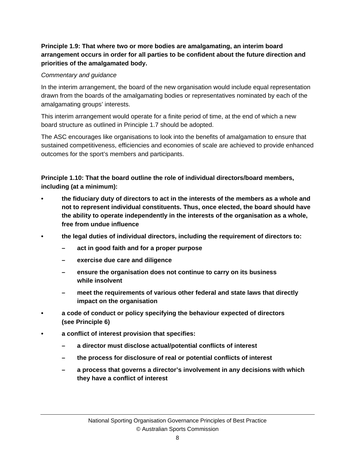#### **Principle 1.9: That where two or more bodies are amalgamating, an interim board arrangement occurs in order for all parties to be confident about the future direction and priorities of the amalgamated body.**

#### *Commentary and guidance*

In the interim arrangement, the board of the new organisation would include equal representation drawn from the boards of the amalgamating bodies or representatives nominated by each of the amalgamating groups' interests.

This interim arrangement would operate for a finite period of time, at the end of which a new board structure as outlined in Principle 1.7 should be adopted.

The ASC encourages like organisations to look into the benefits of amalgamation to ensure that sustained competitiveness, efficiencies and economies of scale are achieved to provide enhanced outcomes for the sport's members and participants.

**Principle 1.10: That the board outline the role of individual directors/board members, including (at a minimum):** 

- **the fiduciary duty of directors to act in the interests of the members as a whole and not to represent individual constituents. Thus, once elected, the board should have the ability to operate independently in the interests of the organisation as a whole, free from undue influence**
- **the legal duties of individual directors, including the requirement of directors to:** 
	- **act in good faith and for a proper purpose**
	- **exercise due care and diligence**
	- **ensure the organisation does not continue to carry on its business while insolvent**
	- **meet the requirements of various other federal and state laws that directly impact on the organisation**
- **a code of conduct or policy specifying the behaviour expected of directors (see Principle 6)**
- **a conflict of interest provision that specifies:** 
	- **a director must disclose actual/potential conflicts of interest**
	- **the process for disclosure of real or potential conflicts of interest**
	- **a process that governs a director's involvement in any decisions with which they have a conflict of interest**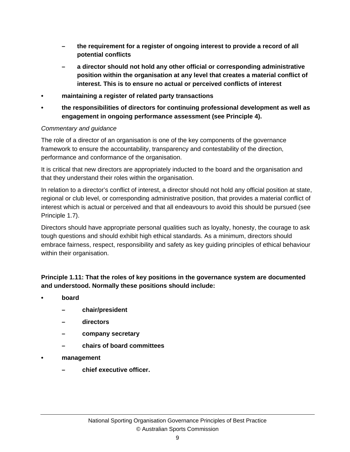- **the requirement for a register of ongoing interest to provide a record of all potential conflicts**
- **a director should not hold any other official or corresponding administrative position within the organisation at any level that creates a material conflict of interest. This is to ensure no actual or perceived conflicts of interest**
- **maintaining a register of related party transactions**
- **the responsibilities of directors for continuing professional development as well as engagement in ongoing performance assessment (see Principle 4).**

#### *Commentary and guidance*

The role of a director of an organisation is one of the key components of the governance framework to ensure the accountability, transparency and contestability of the direction, performance and conformance of the organisation.

It is critical that new directors are appropriately inducted to the board and the organisation and that they understand their roles within the organisation.

In relation to a director's conflict of interest, a director should not hold any official position at state, regional or club level, or corresponding administrative position, that provides a material conflict of interest which is actual or perceived and that all endeavours to avoid this should be pursued (see Principle 1.7).

Directors should have appropriate personal qualities such as loyalty, honesty, the courage to ask tough questions and should exhibit high ethical standards. As a minimum, directors should embrace fairness, respect, responsibility and safety as key guiding principles of ethical behaviour within their organisation.

#### **Principle 1.11: That the roles of key positions in the governance system are documented and understood. Normally these positions should include:**

- **board** 
	- **chair/president**
	- **directors**
	- **company secretary**
	- **chairs of board committees**
- **management** 
	- **chief executive officer.**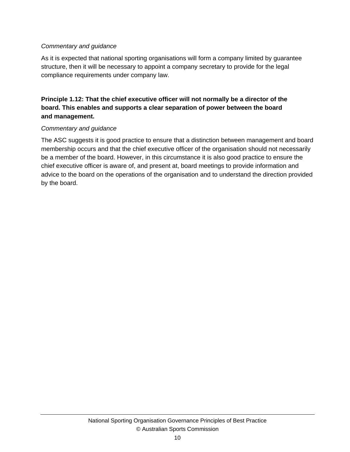#### *Commentary and guidance*

As it is expected that national sporting organisations will form a company limited by guarantee structure, then it will be necessary to appoint a company secretary to provide for the legal compliance requirements under company law.

#### **Principle 1.12: That the chief executive officer will not normally be a director of the board. This enables and supports a clear separation of power between the board and management.**

#### *Commentary and guidance*

The ASC suggests it is good practice to ensure that a distinction between management and board membership occurs and that the chief executive officer of the organisation should not necessarily be a member of the board. However, in this circumstance it is also good practice to ensure the chief executive officer is aware of, and present at, board meetings to provide information and advice to the board on the operations of the organisation and to understand the direction provided by the board.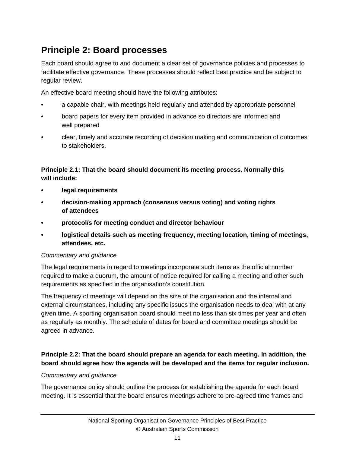# **Principle 2: Board processes**

Each board should agree to and document a clear set of governance policies and processes to facilitate effective governance. These processes should reflect best practice and be subject to regular review.

An effective board meeting should have the following attributes:

- a capable chair, with meetings held regularly and attended by appropriate personnel
- board papers for every item provided in advance so directors are informed and well prepared
- clear, timely and accurate recording of decision making and communication of outcomes to stakeholders.

#### **Principle 2.1: That the board should document its meeting process. Normally this will include:**

- **legal requirements**
- **decision-making approach (consensus versus voting) and voting rights of attendees**
- **protocol/s for meeting conduct and director behaviour**
- **logistical details such as meeting frequency, meeting location, timing of meetings, attendees, etc.**

#### *Commentary and guidance*

The legal requirements in regard to meetings incorporate such items as the official number required to make a quorum, the amount of notice required for calling a meeting and other such requirements as specified in the organisation's constitution.

The frequency of meetings will depend on the size of the organisation and the internal and external circumstances, including any specific issues the organisation needs to deal with at any given time. A sporting organisation board should meet no less than six times per year and often as regularly as monthly. The schedule of dates for board and committee meetings should be agreed in advance.

#### **Principle 2.2: That the board should prepare an agenda for each meeting. In addition, the board should agree how the agenda will be developed and the items for regular inclusion.**

#### *Commentary and guidance*

The governance policy should outline the process for establishing the agenda for each board meeting. It is essential that the board ensures meetings adhere to pre-agreed time frames and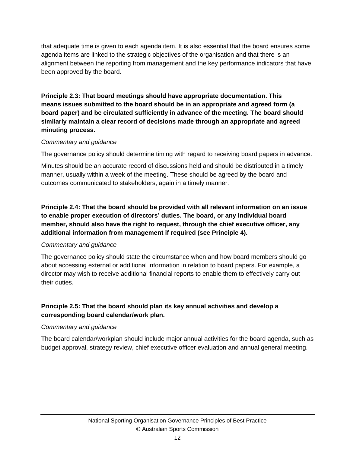that adequate time is given to each agenda item. It is also essential that the board ensures some agenda items are linked to the strategic objectives of the organisation and that there is an alignment between the reporting from management and the key performance indicators that have been approved by the board.

**Principle 2.3: That board meetings should have appropriate documentation. This means issues submitted to the board should be in an appropriate and agreed form (a board paper) and be circulated sufficiently in advance of the meeting. The board should similarly maintain a clear record of decisions made through an appropriate and agreed minuting process.** 

#### *Commentary and guidance*

The governance policy should determine timing with regard to receiving board papers in advance.

Minutes should be an accurate record of discussions held and should be distributed in a timely manner, usually within a week of the meeting. These should be agreed by the board and outcomes communicated to stakeholders, again in a timely manner.

**Principle 2.4: That the board should be provided with all relevant information on an issue to enable proper execution of directors' duties. The board, or any individual board member, should also have the right to request, through the chief executive officer, any additional information from management if required (see Principle 4).** 

#### *Commentary and guidance*

The governance policy should state the circumstance when and how board members should go about accessing external or additional information in relation to board papers. For example, a director may wish to receive additional financial reports to enable them to effectively carry out their duties.

#### **Principle 2.5: That the board should plan its key annual activities and develop a corresponding board calendar/work plan.**

#### *Commentary and guidance*

The board calendar/workplan should include major annual activities for the board agenda, such as budget approval, strategy review, chief executive officer evaluation and annual general meeting.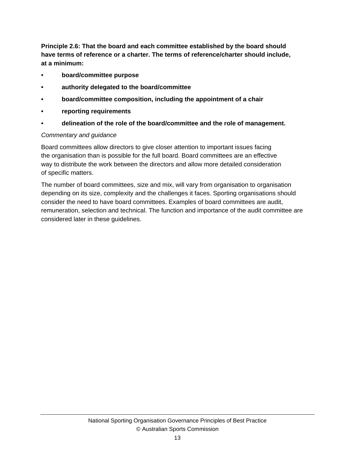**Principle 2.6: That the board and each committee established by the board should have terms of reference or a charter. The terms of reference/charter should include, at a minimum:** 

- **board/committee purpose**
- **authority delegated to the board/committee**
- **board/committee composition, including the appointment of a chair**
- **reporting requirements**
- **delineation of the role of the board/committee and the role of management.**

#### *Commentary and guidance*

Board committees allow directors to give closer attention to important issues facing the organisation than is possible for the full board. Board committees are an effective way to distribute the work between the directors and allow more detailed consideration of specific matters.

The number of board committees, size and mix, will vary from organisation to organisation depending on its size, complexity and the challenges it faces. Sporting organisations should consider the need to have board committees. Examples of board committees are audit, remuneration, selection and technical. The function and importance of the audit committee are considered later in these guidelines.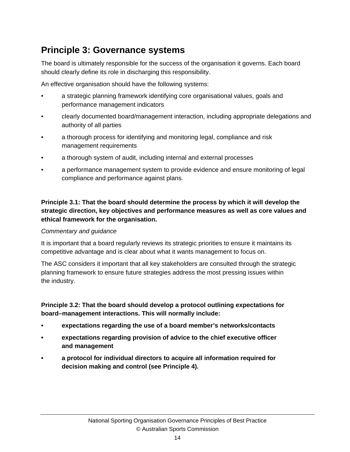### **Principle 3: Governance systems**

The board is ultimately responsible for the success of the organisation it governs. Each board should clearly define its role in discharging this responsibility.

An effective organisation should have the following systems:

- a strategic planning framework identifying core organisational values, goals and performance management indicators
- clearly documented board/management interaction, including appropriate delegations and authority of all parties
- a thorough process for identifying and monitoring legal, compliance and risk management requirements
- a thorough system of audit, including internal and external processes
- a performance management system to provide evidence and ensure monitoring of legal compliance and performance against plans.

**Principle 3.1: That the board should determine the process by which it will develop the strategic direction, key objectives and performance measures as well as core values and ethical framework for the organisation.** 

#### *Commentary and guidance*

It is important that a board regularly reviews its strategic priorities to ensure it maintains its competitive advantage and is clear about what it wants management to focus on.

The ASC considers it important that all key stakeholders are consulted through the strategic planning framework to ensure future strategies address the most pressing issues within the industry.

#### **Principle 3.2: That the board should develop a protocol outlining expectations for board–management interactions. This will normally include:**

- **expectations regarding the use of a board member's networks/contacts**
- **expectations regarding provision of advice to the chief executive officer and management**
- **a protocol for individual directors to acquire all information required for decision making and control (see Principle 4).**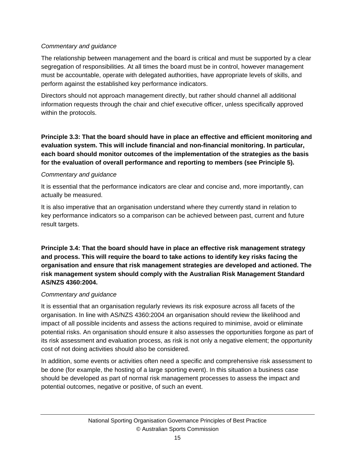#### *Commentary and guidance*

The relationship between management and the board is critical and must be supported by a clear segregation of responsibilities. At all times the board must be in control, however management must be accountable, operate with delegated authorities, have appropriate levels of skills, and perform against the established key performance indicators.

Directors should not approach management directly, but rather should channel all additional information requests through the chair and chief executive officer, unless specifically approved within the protocols.

**Principle 3.3: That the board should have in place an effective and efficient monitoring and evaluation system. This will include financial and non-financial monitoring. In particular, each board should monitor outcomes of the implementation of the strategies as the basis for the evaluation of overall performance and reporting to members (see Principle 5).** 

#### *Commentary and guidance*

It is essential that the performance indicators are clear and concise and, more importantly, can actually be measured.

It is also imperative that an organisation understand where they currently stand in relation to key performance indicators so a comparison can be achieved between past, current and future result targets.

**Principle 3.4: That the board should have in place an effective risk management strategy and process. This will require the board to take actions to identify key risks facing the organisation and ensure that risk management strategies are developed and actioned. The risk management system should comply with the Australian Risk Management Standard AS/NZS 4360:2004.** 

#### *Commentary and guidance*

It is essential that an organisation regularly reviews its risk exposure across all facets of the organisation. In line with AS/NZS 4360:2004 an organisation should review the likelihood and impact of all possible incidents and assess the actions required to minimise, avoid or eliminate potential risks. An organisation should ensure it also assesses the opportunities forgone as part of its risk assessment and evaluation process, as risk is not only a negative element; the opportunity cost of not doing activities should also be considered.

In addition, some events or activities often need a specific and comprehensive risk assessment to be done (for example, the hosting of a large sporting event). In this situation a business case should be developed as part of normal risk management processes to assess the impact and potential outcomes, negative or positive, of such an event.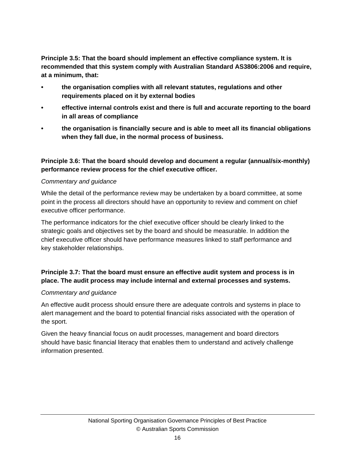**Principle 3.5: That the board should implement an effective compliance system. It is recommended that this system comply with Australian Standard AS3806:2006 and require, at a minimum, that:** 

- **the organisation complies with all relevant statutes, regulations and other requirements placed on it by external bodies**
- **effective internal controls exist and there is full and accurate reporting to the board in all areas of compliance**
- **the organisation is financially secure and is able to meet all its financial obligations when they fall due, in the normal process of business.**

#### **Principle 3.6: That the board should develop and document a regular (annual/six-monthly) performance review process for the chief executive officer.**

#### *Commentary and guidance*

While the detail of the performance review may be undertaken by a board committee, at some point in the process all directors should have an opportunity to review and comment on chief executive officer performance.

The performance indicators for the chief executive officer should be clearly linked to the strategic goals and objectives set by the board and should be measurable. In addition the chief executive officer should have performance measures linked to staff performance and key stakeholder relationships.

#### **Principle 3.7: That the board must ensure an effective audit system and process is in place. The audit process may include internal and external processes and systems.**

#### *Commentary and guidance*

An effective audit process should ensure there are adequate controls and systems in place to alert management and the board to potential financial risks associated with the operation of the sport.

Given the heavy financial focus on audit processes, management and board directors should have basic financial literacy that enables them to understand and actively challenge information presented.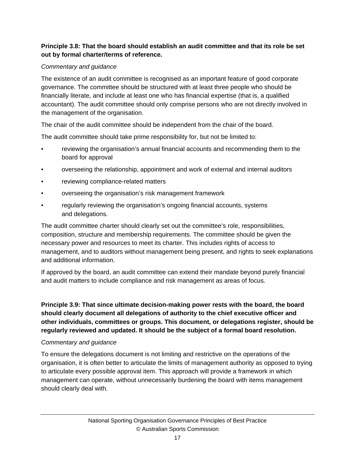#### **Principle 3.8: That the board should establish an audit committee and that its role be set out by formal charter/terms of reference.**

#### *Commentary and guidance*

The existence of an audit committee is recognised as an important feature of good corporate governance. The committee should be structured with at least three people who should be financially literate, and include at least one who has financial expertise (that is, a qualified accountant). The audit committee should only comprise persons who are not directly involved in the management of the organisation.

The chair of the audit committee should be independent from the chair of the board.

The audit committee should take prime responsibility for, but not be limited to:

- reviewing the organisation's annual financial accounts and recommending them to the board for approval
- overseeing the relationship, appointment and work of external and internal auditors
- reviewing compliance-related matters
- overseeing the organisation's risk management framework
- regularly reviewing the organisation's ongoing financial accounts, systems and delegations.

The audit committee charter should clearly set out the committee's role, responsibilities, composition, structure and membership requirements. The committee should be given the necessary power and resources to meet its charter. This includes rights of access to management, and to auditors without management being present, and rights to seek explanations and additional information.

If approved by the board, an audit committee can extend their mandate beyond purely financial and audit matters to include compliance and risk management as areas of focus.

**Principle 3.9: That since ultimate decision-making power rests with the board, the board should clearly document all delegations of authority to the chief executive officer and other individuals, committees or groups. This document, or delegations register, should be regularly reviewed and updated. It should be the subject of a formal board resolution.** 

#### *Commentary and guidance*

To ensure the delegations document is not limiting and restrictive on the operations of the organisation, it is often better to articulate the limits of management authority as opposed to trying to articulate every possible approval item. This approach will provide a framework in which management can operate, without unnecessarily burdening the board with items management should clearly deal with.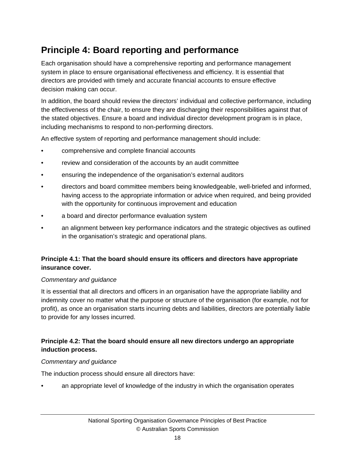# **Principle 4: Board reporting and performance**

Each organisation should have a comprehensive reporting and performance management system in place to ensure organisational effectiveness and efficiency. It is essential that directors are provided with timely and accurate financial accounts to ensure effective decision making can occur.

In addition, the board should review the directors' individual and collective performance, including the effectiveness of the chair, to ensure they are discharging their responsibilities against that of the stated objectives. Ensure a board and individual director development program is in place, including mechanisms to respond to non-performing directors.

An effective system of reporting and performance management should include:

- comprehensive and complete financial accounts
- review and consideration of the accounts by an audit committee
- ensuring the independence of the organisation's external auditors
- directors and board committee members being knowledgeable, well-briefed and informed, having access to the appropriate information or advice when required, and being provided with the opportunity for continuous improvement and education
- a board and director performance evaluation system
- an alignment between key performance indicators and the strategic objectives as outlined in the organisation's strategic and operational plans.

#### **Principle 4.1: That the board should ensure its officers and directors have appropriate insurance cover.**

#### *Commentary and guidance*

It is essential that all directors and officers in an organisation have the appropriate liability and indemnity cover no matter what the purpose or structure of the organisation (for example, not for profit), as once an organisation starts incurring debts and liabilities, directors are potentially liable to provide for any losses incurred.

#### **Principle 4.2: That the board should ensure all new directors undergo an appropriate induction process.**

#### *Commentary and guidance*

The induction process should ensure all directors have:

an appropriate level of knowledge of the industry in which the organisation operates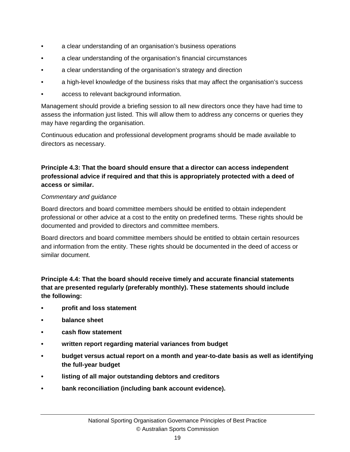- a clear understanding of an organisation's business operations
- a clear understanding of the organisation's financial circumstances
- a clear understanding of the organisation's strategy and direction
- a high-level knowledge of the business risks that may affect the organisation's success
- access to relevant background information.

Management should provide a briefing session to all new directors once they have had time to assess the information just listed. This will allow them to address any concerns or queries they may have regarding the organisation.

Continuous education and professional development programs should be made available to directors as necessary.

#### **Principle 4.3: That the board should ensure that a director can access independent professional advice if required and that this is appropriately protected with a deed of access or similar.**

#### *Commentary and guidance*

Board directors and board committee members should be entitled to obtain independent professional or other advice at a cost to the entity on predefined terms. These rights should be documented and provided to directors and committee members.

Board directors and board committee members should be entitled to obtain certain resources and information from the entity. These rights should be documented in the deed of access or similar document.

**Principle 4.4: That the board should receive timely and accurate financial statements that are presented regularly (preferably monthly). These statements should include the following:** 

- **profit and loss statement**
- **balance sheet**
- **cash flow statement**
- **written report regarding material variances from budget**
- **budget versus actual report on a month and year-to-date basis as well as identifying the full-year budget**
- **listing of all major outstanding debtors and creditors**
- **bank reconciliation (including bank account evidence).**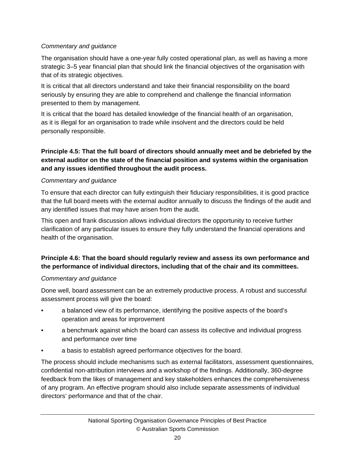#### *Commentary and guidance*

The organisation should have a one-year fully costed operational plan, as well as having a more strategic 3–5 year financial plan that should link the financial objectives of the organisation with that of its strategic objectives.

It is critical that all directors understand and take their financial responsibility on the board seriously by ensuring they are able to comprehend and challenge the financial information presented to them by management.

It is critical that the board has detailed knowledge of the financial health of an organisation, as it is illegal for an organisation to trade while insolvent and the directors could be held personally responsible.

#### **Principle 4.5: That the full board of directors should annually meet and be debriefed by the external auditor on the state of the financial position and systems within the organisation and any issues identified throughout the audit process.**

#### *Commentary and guidance*

To ensure that each director can fully extinguish their fiduciary responsibilities, it is good practice that the full board meets with the external auditor annually to discuss the findings of the audit and any identified issues that may have arisen from the audit.

This open and frank discussion allows individual directors the opportunity to receive further clarification of any particular issues to ensure they fully understand the financial operations and health of the organisation.

#### **Principle 4.6: That the board should regularly review and assess its own performance and the performance of individual directors, including that of the chair and its committees.**

#### *Commentary and guidance*

Done well, board assessment can be an extremely productive process. A robust and successful assessment process will give the board:

- a balanced view of its performance, identifying the positive aspects of the board's operation and areas for improvement
- a benchmark against which the board can assess its collective and individual progress and performance over time
- a basis to establish agreed performance objectives for the board.

The process should include mechanisms such as external facilitators, assessment questionnaires, confidential non-attribution interviews and a workshop of the findings. Additionally, 360-degree feedback from the likes of management and key stakeholders enhances the comprehensiveness of any program. An effective program should also include separate assessments of individual directors' performance and that of the chair.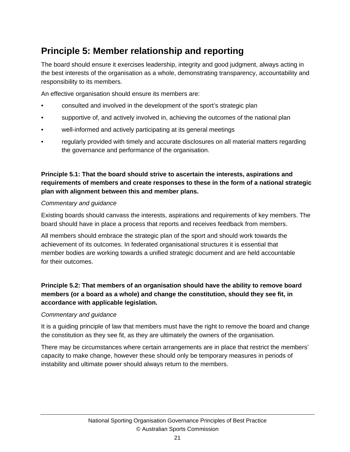# **Principle 5: Member relationship and reporting**

The board should ensure it exercises leadership, integrity and good judgment, always acting in the best interests of the organisation as a whole, demonstrating transparency, accountability and responsibility to its members.

An effective organisation should ensure its members are:

- consulted and involved in the development of the sport's strategic plan
- supportive of, and actively involved in, achieving the outcomes of the national plan
- well-informed and actively participating at its general meetings
- regularly provided with timely and accurate disclosures on all material matters regarding the governance and performance of the organisation.

#### **Principle 5.1: That the board should strive to ascertain the interests, aspirations and requirements of members and create responses to these in the form of a national strategic plan with alignment between this and member plans.**

#### *Commentary and guidance*

Existing boards should canvass the interests, aspirations and requirements of key members. The board should have in place a process that reports and receives feedback from members.

All members should embrace the strategic plan of the sport and should work towards the achievement of its outcomes. In federated organisational structures it is essential that member bodies are working towards a unified strategic document and are held accountable for their outcomes.

#### **Principle 5.2: That members of an organisation should have the ability to remove board members (or a board as a whole) and change the constitution, should they see fit, in accordance with applicable legislation.**

#### *Commentary and guidance*

It is a guiding principle of law that members must have the right to remove the board and change the constitution as they see fit, as they are ultimately the owners of the organisation.

There may be circumstances where certain arrangements are in place that restrict the members' capacity to make change, however these should only be temporary measures in periods of instability and ultimate power should always return to the members.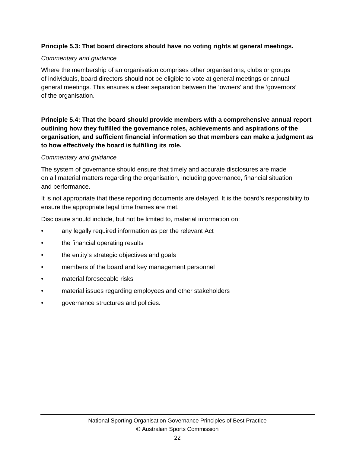#### **Principle 5.3: That board directors should have no voting rights at general meetings.**

#### *Commentary and guidance*

Where the membership of an organisation comprises other organisations, clubs or groups of individuals, board directors should not be eligible to vote at general meetings or annual general meetings. This ensures a clear separation between the 'owners' and the 'governors' of the organisation.

**Principle 5.4: That the board should provide members with a comprehensive annual report outlining how they fulfilled the governance roles, achievements and aspirations of the organisation, and sufficient financial information so that members can make a judgment as to how effectively the board is fulfilling its role.**

#### *Commentary and guidance*

The system of governance should ensure that timely and accurate disclosures are made on all material matters regarding the organisation, including governance, financial situation and performance.

It is not appropriate that these reporting documents are delayed. It is the board's responsibility to ensure the appropriate legal time frames are met.

Disclosure should include, but not be limited to, material information on:

- any legally required information as per the relevant Act
- the financial operating results
- the entity's strategic objectives and goals
- members of the board and key management personnel
- material foreseeable risks
- material issues regarding employees and other stakeholders
- governance structures and policies.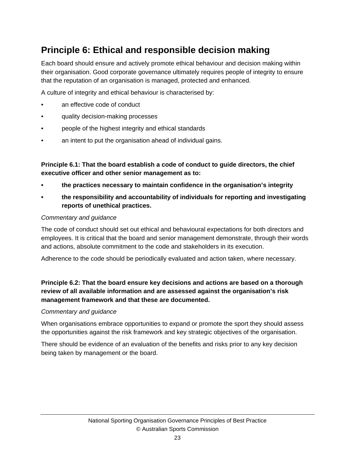# **Principle 6: Ethical and responsible decision making**

Each board should ensure and actively promote ethical behaviour and decision making within their organisation. Good corporate governance ultimately requires people of integrity to ensure that the reputation of an organisation is managed, protected and enhanced.

A culture of integrity and ethical behaviour is characterised by:

- an effective code of conduct
- quality decision-making processes
- people of the highest integrity and ethical standards
- an intent to put the organisation ahead of individual gains.

**Principle 6.1: That the board establish a code of conduct to guide directors, the chief executive officer and other senior management as to:** 

- **the practices necessary to maintain confidence in the organisation's integrity**
- **the responsibility and accountability of individuals for reporting and investigating reports of unethical practices.**

#### *Commentary and guidance*

The code of conduct should set out ethical and behavioural expectations for both directors and employees. It is critical that the board and senior management demonstrate, through their words and actions, absolute commitment to the code and stakeholders in its execution.

Adherence to the code should be periodically evaluated and action taken, where necessary.

#### **Principle 6.2: That the board ensure key decisions and actions are based on a thorough review of all available information and are assessed against the organisation's risk management framework and that these are documented.**

#### *Commentary and guidance*

When organisations embrace opportunities to expand or promote the sport they should assess the opportunities against the risk framework and key strategic objectives of the organisation.

There should be evidence of an evaluation of the benefits and risks prior to any key decision being taken by management or the board.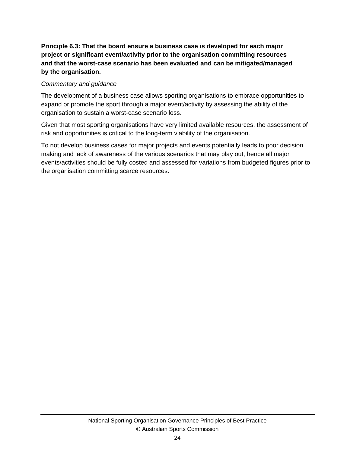**Principle 6.3: That the board ensure a business case is developed for each major project or significant event/activity prior to the organisation committing resources and that the worst-case scenario has been evaluated and can be mitigated/managed by the organisation.** 

#### *Commentary and guidance*

The development of a business case allows sporting organisations to embrace opportunities to expand or promote the sport through a major event/activity by assessing the ability of the organisation to sustain a worst-case scenario loss.

Given that most sporting organisations have very limited available resources, the assessment of risk and opportunities is critical to the long-term viability of the organisation.

To not develop business cases for major projects and events potentially leads to poor decision making and lack of awareness of the various scenarios that may play out, hence all major events/activities should be fully costed and assessed for variations from budgeted figures prior to the organisation committing scarce resources.